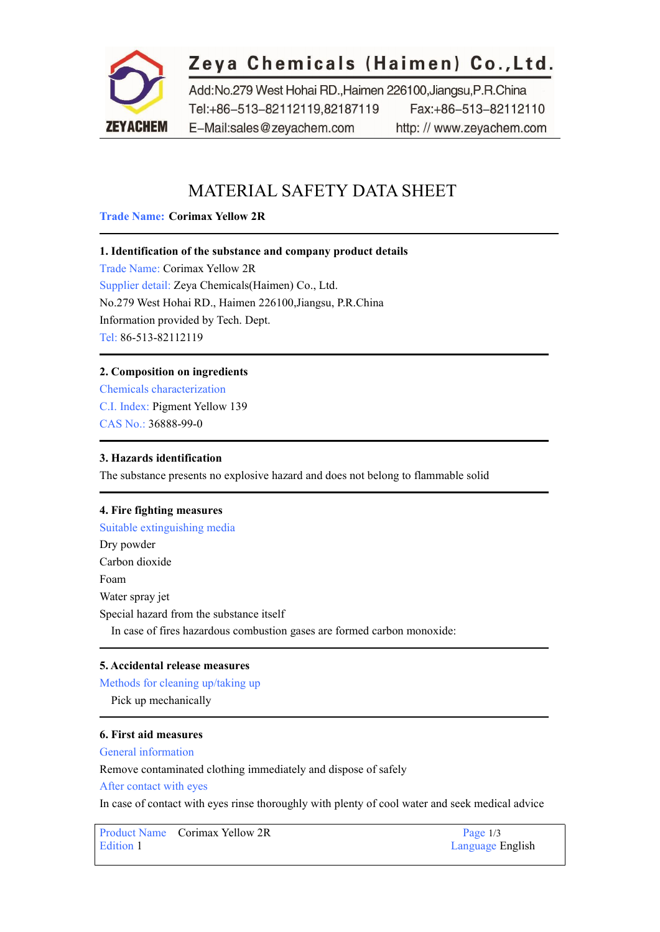

# Zeya Chemicals (Haimen) Co., Ltd.

Add:No.279 West Hohai RD., Haimen 226100, Jiangsu, P.R.China Tel:+86-513-82112119.82187119 Fax:+86-513-82112110 E-Mail:sales@zeyachem.com http://www.zeyachem.com

# MATERIAL SAFETY DATA SHEET

### **Trade Name: Corimax Yellow 2R**

# **1. Identification of the substance and company product details**

Trade Name: Corimax Yellow 2R Supplier detail: Zeya Chemicals(Haimen) Co., Ltd. No.279 West Hohai RD., Haimen 226100,Jiangsu, P.R.China Information provided by Tech. Dept. Tel: 86-513-82112119

# **2. Composition on ingredients**

Chemicals characterization C.I. Index: [Pigment](https://www.zeyachem.net/pigment-yellow-139.html) Yellow 139 CAS No.: [36888-99-0](http://www.chemblink.com/products/36888-99-0.htm)

#### **3. Hazards identification**

The substance presents no explosive hazard and does not belong to flammable solid

#### **4. Fire fighting measures**

Suitable extinguishing media Dry powder Carbon dioxide Foam Water spray jet Special hazard from the substance itself In case of fires hazardous combustion gases are formed carbon monoxide:

#### **5. Accidental release measures**

#### Methods for cleaning up/taking up

Pick up mechanically

# **6. First aid measures**

General information

Remove contaminated clothing immediately and dispose of safely

After contact with eyes

In case of contact with eyes rinse thoroughly with plenty of cool water and seek medical advice

Product Name Corimax Yellow 2R Page 1/3 Edition 1 Language English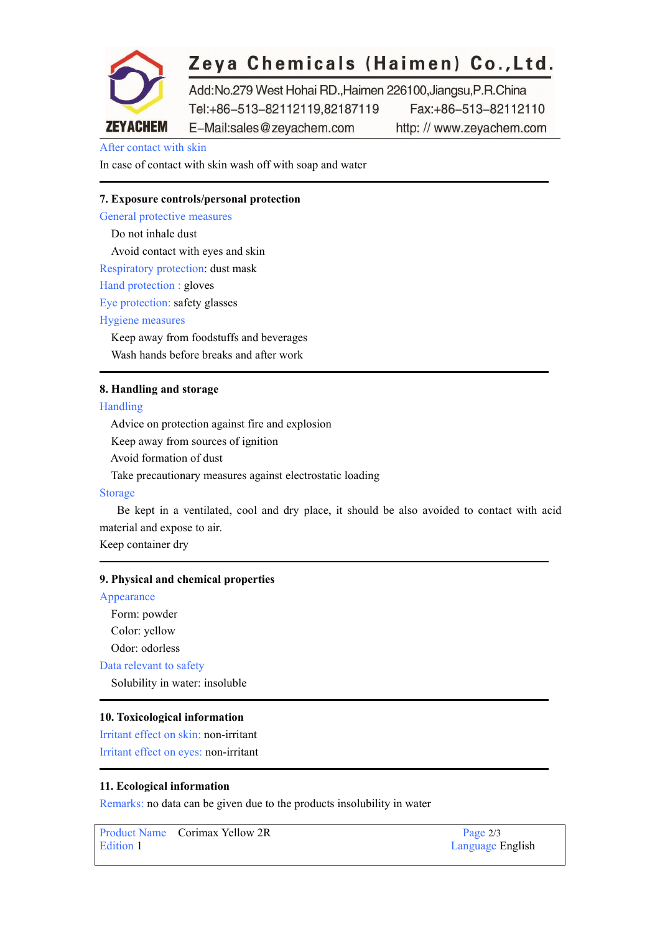

# Zeya Chemicals (Haimen) Co., Ltd.

Add:No.279 West Hohai RD., Haimen 226100, Jiangsu, P.R.China Tel:+86-513-82112119.82187119 Fax:+86-513-82112110 E-Mail:sales@zeyachem.com http://www.zeyachem.com

After contact with skin

In case of contact with skin wash off with soap and water

# **7. Exposure controls/personal protection**

General protective measures Do not inhale dust Avoid contact with eyes and skin Respiratory protection: dust mask Hand protection : gloves Eye protection: safety glasses Hygiene measures Keep away from foodstuffs and beverages Wash hands before breaks and after work

#### **8. Handling and storage**

Handling

Advice on protection against fire and explosion Keep away from sources of ignition Avoid formation of dust Take precautionary measures against electrostatic loading

#### Storage

Be kept in a ventilated, cool and dry place, it should be also avoided to contact with acid material and expose to air.

Keep container dry

#### **9. Physical and chemical properties**

Appearance Form: powder Color: yellow Odor: odorless Data relevant to safety Solubility in water: insoluble

#### **10. Toxicological information**

Irritant effect on skin: non-irritant Irritant effect on eyes: non-irritant

#### **11. Ecological information**

Remarks: no data can be given due to the products insolubility in water

Product Name Corimax Yellow 2R Page 2/3 Edition 1 Language English